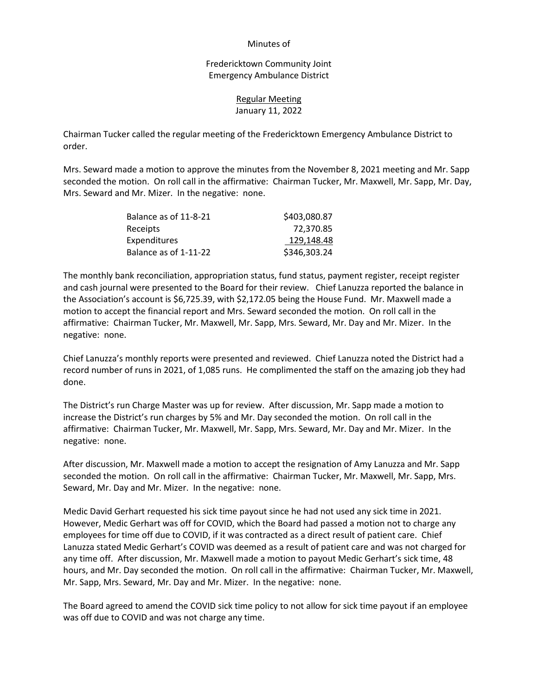#### Minutes of

Fredericktown Community Joint Emergency Ambulance District

### Regular Meeting January 11, 2022

Chairman Tucker called the regular meeting of the Fredericktown Emergency Ambulance District to order.

Mrs. Seward made a motion to approve the minutes from the November 8, 2021 meeting and Mr. Sapp seconded the motion. On roll call in the affirmative: Chairman Tucker, Mr. Maxwell, Mr. Sapp, Mr. Day, Mrs. Seward and Mr. Mizer. In the negative: none.

| Balance as of 11-8-21 | \$403,080.87 |
|-----------------------|--------------|
| Receipts              | 72.370.85    |
| Expenditures          | 129.148.48   |
| Balance as of 1-11-22 | \$346,303.24 |

The monthly bank reconciliation, appropriation status, fund status, payment register, receipt register and cash journal were presented to the Board for their review. Chief Lanuzza reported the balance in the Association's account is \$6,725.39, with \$2,172.05 being the House Fund. Mr. Maxwell made a motion to accept the financial report and Mrs. Seward seconded the motion. On roll call in the affirmative: Chairman Tucker, Mr. Maxwell, Mr. Sapp, Mrs. Seward, Mr. Day and Mr. Mizer. In the negative: none.

Chief Lanuzza's monthly reports were presented and reviewed. Chief Lanuzza noted the District had a record number of runs in 2021, of 1,085 runs. He complimented the staff on the amazing job they had done.

The District's run Charge Master was up for review. After discussion, Mr. Sapp made a motion to increase the District's run charges by 5% and Mr. Day seconded the motion. On roll call in the affirmative: Chairman Tucker, Mr. Maxwell, Mr. Sapp, Mrs. Seward, Mr. Day and Mr. Mizer. In the negative: none.

After discussion, Mr. Maxwell made a motion to accept the resignation of Amy Lanuzza and Mr. Sapp seconded the motion. On roll call in the affirmative: Chairman Tucker, Mr. Maxwell, Mr. Sapp, Mrs. Seward, Mr. Day and Mr. Mizer. In the negative: none.

Medic David Gerhart requested his sick time payout since he had not used any sick time in 2021. However, Medic Gerhart was off for COVID, which the Board had passed a motion not to charge any employees for time off due to COVID, if it was contracted as a direct result of patient care. Chief Lanuzza stated Medic Gerhart's COVID was deemed as a result of patient care and was not charged for any time off. After discussion, Mr. Maxwell made a motion to payout Medic Gerhart's sick time, 48 hours, and Mr. Day seconded the motion. On roll call in the affirmative: Chairman Tucker, Mr. Maxwell, Mr. Sapp, Mrs. Seward, Mr. Day and Mr. Mizer. In the negative: none.

The Board agreed to amend the COVID sick time policy to not allow for sick time payout if an employee was off due to COVID and was not charge any time.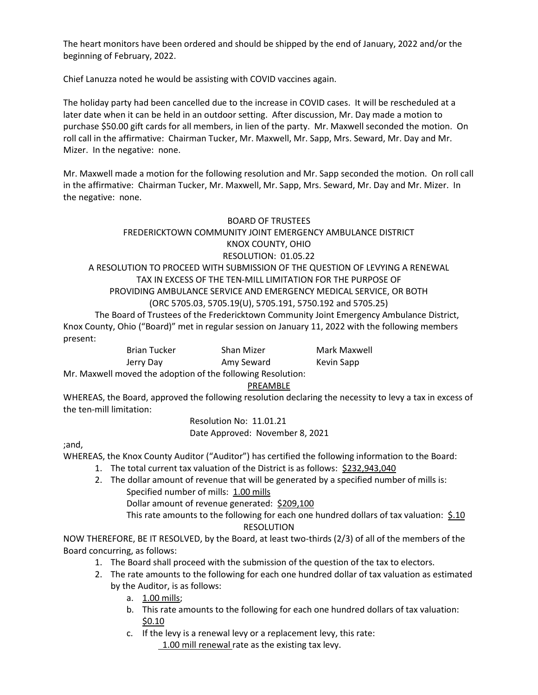The heart monitors have been ordered and should be shipped by the end of January, 2022 and/or the beginning of February, 2022.

Chief Lanuzza noted he would be assisting with COVID vaccines again.

The holiday party had been cancelled due to the increase in COVID cases. It will be rescheduled at a later date when it can be held in an outdoor setting. After discussion, Mr. Day made a motion to purchase \$50.00 gift cards for all members, in lien of the party. Mr. Maxwell seconded the motion. On roll call in the affirmative: Chairman Tucker, Mr. Maxwell, Mr. Sapp, Mrs. Seward, Mr. Day and Mr. Mizer. In the negative: none.

Mr. Maxwell made a motion for the following resolution and Mr. Sapp seconded the motion. On roll call in the affirmative: Chairman Tucker, Mr. Maxwell, Mr. Sapp, Mrs. Seward, Mr. Day and Mr. Mizer. In the negative: none.

### BOARD OF TRUSTEES

### FREDERICKTOWN COMMUNITY JOINT EMERGENCY AMBULANCE DISTRICT KNOX COUNTY, OHIO

# RESOLUTION: 01.05.22

### A RESOLUTION TO PROCEED WITH SUBMISSION OF THE QUESTION OF LEVYING A RENEWAL TAX IN EXCESS OF THE TEN-MILL LIMITATION FOR THE PURPOSE OF PROVIDING AMBULANCE SERVICE AND EMERGENCY MEDICAL SERVICE, OR BOTH (ORC 5705.03, 5705.19(U), 5705.191, 5750.192 and 5705.25)

The Board of Trustees of the Fredericktown Community Joint Emergency Ambulance District, Knox County, Ohio ("Board)" met in regular session on January 11, 2022 with the following members present:

| Brian Tucker |  |
|--------------|--|
| Jerry Day    |  |

Shan Mizer **Mark Maxwell** Amy Seward Kevin Sapp

Mr. Maxwell moved the adoption of the following Resolution:

### PREAMBLE

WHEREAS, the Board, approved the following resolution declaring the necessity to levy a tax in excess of the ten-mill limitation:

> Resolution No: 11.01.21 Date Approved: November 8, 2021

;and,

WHEREAS, the Knox County Auditor ("Auditor") has certified the following information to the Board:

- 1. The total current tax valuation of the District is as follows: \$232,943,040
- 2. The dollar amount of revenue that will be generated by a specified number of mills is: Specified number of mills: 1.00 mills
	- Dollar amount of revenue generated: \$209,100

This rate amounts to the following for each one hundred dollars of tax valuation:  $\frac{5.10}{2.10}$ RESOLUTION

NOW THEREFORE, BE IT RESOLVED, by the Board, at least two-thirds (2/3) of all of the members of the Board concurring, as follows:

- 1. The Board shall proceed with the submission of the question of the tax to electors.
- 2. The rate amounts to the following for each one hundred dollar of tax valuation as estimated by the Auditor, is as follows:
	- a. 1.00 mills;
	- b. This rate amounts to the following for each one hundred dollars of tax valuation: \$0.10
	- c. If the levy is a renewal levy or a replacement levy, this rate: 1.00 mill renewal rate as the existing tax levy.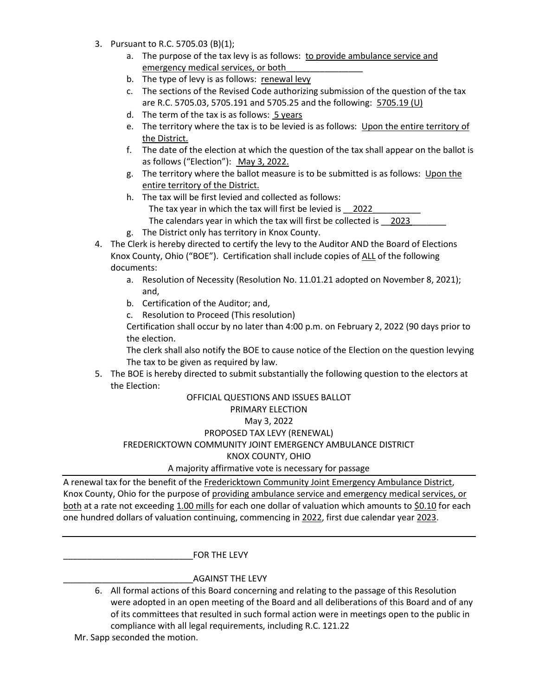- 3. Pursuant to R.C. 5705.03 (B)(1);
	- a. The purpose of the tax levy is as follows: to provide ambulance service and emergency medical services, or both\_\_\_\_\_\_\_\_\_\_\_\_\_\_\_\_
	- b. The type of levy is as follows: renewal levy
	- c. The sections of the Revised Code authorizing submission of the question of the tax are R.C. 5705.03, 5705.191 and 5705.25 and the following: 5705.19 (U)
	- d. The term of the tax is as follows: 5 years
	- e. The territory where the tax is to be levied is as follows: Upon the entire territory of the District.
	- f. The date of the election at which the question of the tax shall appear on the ballot is as follows ("Election"): May 3, 2022.
	- g. The territory where the ballot measure is to be submitted is as follows: Upon the entire territory of the District.
	- h. The tax will be first levied and collected as follows: The tax year in which the tax will first be levied is 2022 The calendars year in which the tax will first be collected is 2023
	- g. The District only has territory in Knox County.
- 4. The Clerk is hereby directed to certify the levy to the Auditor AND the Board of Elections Knox County, Ohio ("BOE"). Certification shall include copies of ALL of the following documents:
	- a. Resolution of Necessity (Resolution No. 11.01.21 adopted on November 8, 2021); and,
	- b. Certification of the Auditor; and,
	- c. Resolution to Proceed (This resolution)

 Certification shall occur by no later than 4:00 p.m. on February 2, 2022 (90 days prior to the election.

 The clerk shall also notify the BOE to cause notice of the Election on the question levying The tax to be given as required by law.

5. The BOE is hereby directed to submit substantially the following question to the electors at the Election:

# OFFICIAL QUESTIONS AND ISSUES BALLOT PRIMARY ELECTION May 3, 2022 PROPOSED TAX LEVY (RENEWAL) FREDERICKTOWN COMMUNITY JOINT EMERGENCY AMBULANCE DISTRICT KNOX COUNTY, OHIO A majority affirmative vote is necessary for passage

A renewal tax for the benefit of the Fredericktown Community Joint Emergency Ambulance District, Knox County, Ohio for the purpose of providing ambulance service and emergency medical services, or both at a rate not exceeding 1.00 mills for each one dollar of valuation which amounts to \$0.10 for each one hundred dollars of valuation continuing, commencing in 2022, first due calendar year 2023.

\_\_\_\_\_\_\_\_\_\_\_\_\_\_\_\_\_\_\_\_\_\_\_\_\_\_\_FOR THE LEVY

### \_\_\_\_\_\_\_\_\_\_\_\_\_\_\_\_\_\_\_\_\_\_\_\_\_\_\_AGAINST THE LEVY

- 6. All formal actions of this Board concerning and relating to the passage of this Resolution were adopted in an open meeting of the Board and all deliberations of this Board and of any of its committees that resulted in such formal action were in meetings open to the public in compliance with all legal requirements, including R.C. 121.22
- Mr. Sapp seconded the motion.